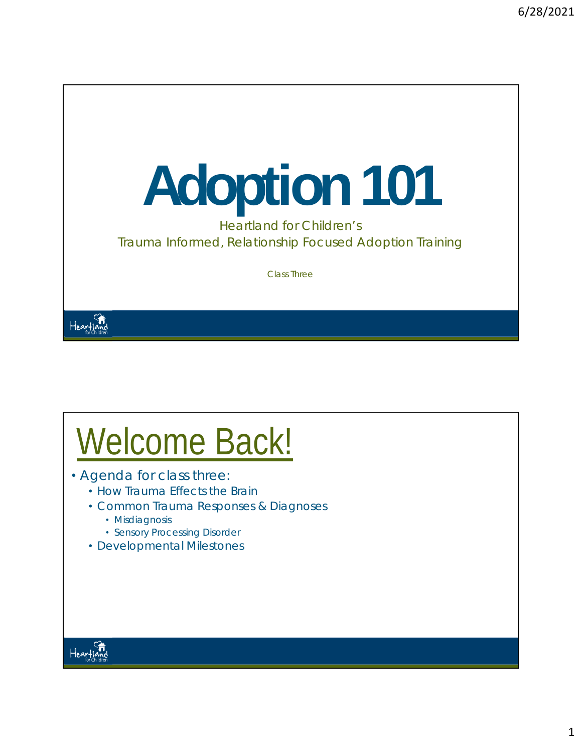# **Adoption 101**

Heartland for Children's Trauma Informed, Relationship Focused Adoption Training

Class Three

## Welcome Back!

- Agenda for class three:
	- How Trauma Effects the Brain
	- Common Trauma Responses & Diagnoses
		- Misdiagnosis
		- Sensory Processing Disorder
	- Developmental Milestones



Heartland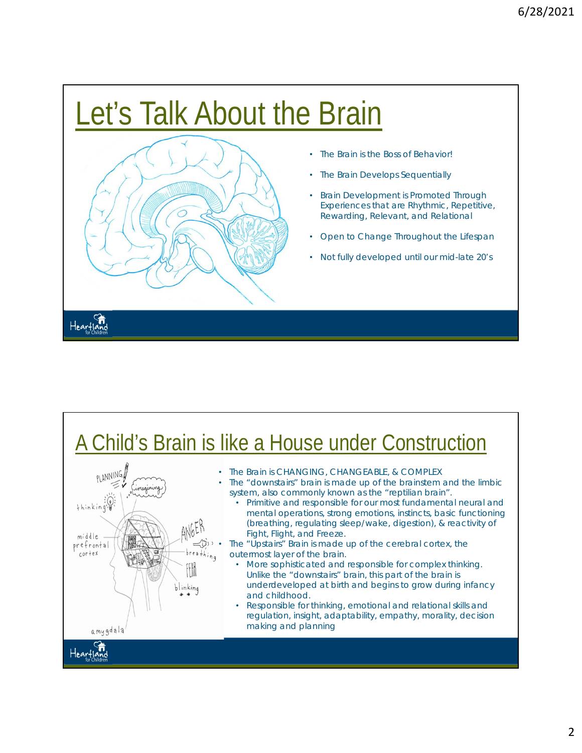## Let's Talk About the Brain



- The Brain is the Boss of Behavior!
- The Brain Develops Sequentially
- Brain Development is Promoted Through Experiences that are Rhythmic, Repetitive, Rewarding, Relevant, and Relational
- Open to Change Throughout the Lifespan
- Not fully developed until our mid-late 20's

#### A Child's Brain is like a House under Construction



- The Brain is CHANGING, CHANGEABLE, & COMPLEX
- The "downstairs" brain is made up of the brainstem and the limbic system, also commonly known as the "reptilian brain".
	- Primitive and responsible for our most fundamental neural and mental operations, strong emotions, instincts, basic functioning (breathing, regulating sleep/wake, digestion), & reactivity of Fight, Flight, and Freeze.

 $\preceq_{\mathbb{Q}}^{\mathfrak{H}_{1}}$  • The "Upstairs" Brain is made up of the cerebral cortex, the outermost layer of the brain.

- More sophisticated and responsible for complex thinking. Unlike the "downstairs" brain, this part of the brain is underdeveloped at birth and begins to grow during infancy and childhood.
- Responsible for thinking, emotional and relational skills and regulation, insight, adaptability, empathy, morality, decision making and planning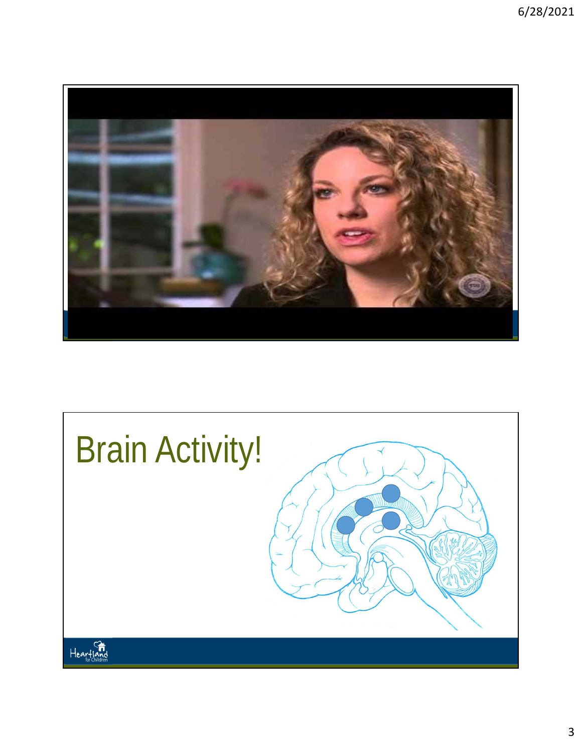

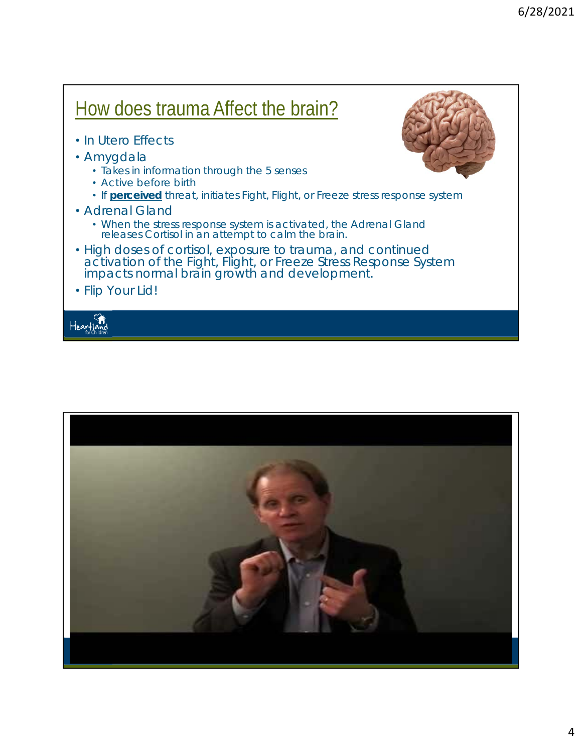### How does trauma Affect the brain?

- In Utero Effects
- Amygdala
	- Takes in information through the 5 senses
	- Active before birth
	- If **perceived** threat, initiates Fight, Flight, or Freeze stress response system
- Adrenal Gland
	- When the stress response system is activated, the Adrenal Gland releases Cortisol in an attempt to calm the brain.
- High doses of cortisol, exposure to trauma, and continued activation of the Fight, Flight, or Freeze Stress Response System impacts normal brain growth and development.
- Flip Your Lid!

Hearflo



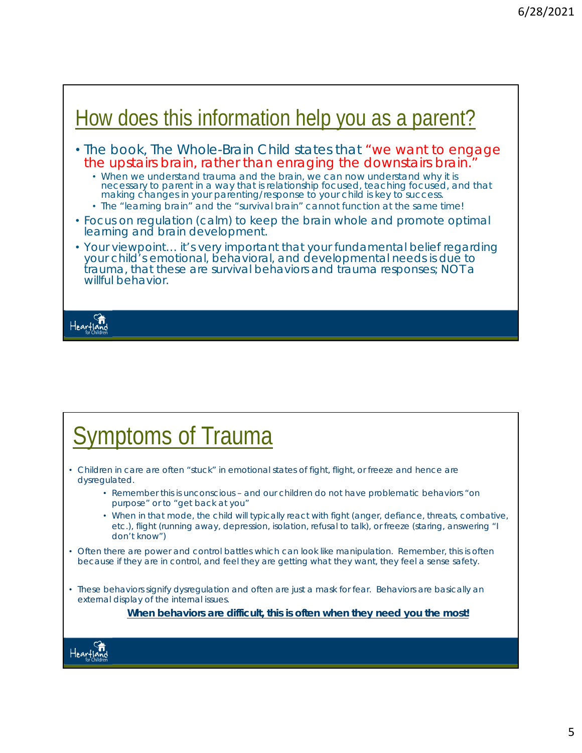#### How does this information help you as a parent?

- The book, *The Whole-Brain Child* states that "we want to engage the upstairs brain, rather than enraging the downstairs brain."
	- When we understand trauma and the brain, we can now understand why it is necessary to parent in a way that is relationship focused, teaching focused, and that making changes in your parenting/response to your child is key to success.
	- The "learning brain" and the "survival brain" cannot function at the same time!
- Focus on regulation (calm) to keep the brain whole and promote optimal learning and brain development.
- Your viewpoint… it's very important that your fundamental belief regarding your child's emotional, behavioral, and developmental needs is due to trauma, that these are survival behaviors and trauma responses; NOT a willful behavior.

Hearfla

#### Symptoms of Trauma

- Children in care are often "stuck" in emotional states of fight, flight, or freeze and hence are dysregulated.
	- Remember this is unconscious and our children do not have problematic behaviors "on purpose" or to "get back at you"
	- When in that mode, the child will typically react with fight (anger, defiance, threats, combative, etc.), flight (running away, depression, isolation, refusal to talk), or freeze (staring, answering "I don't know")
- Often there are power and control battles which can look like manipulation. Remember, this is often because if they are in control, and feel they are getting what they want, they feel a sense safety.
- These behaviors signify dysregulation and often are just a mask for fear. Behaviors are basically an external display of the internal issues.

*When behaviors are difficult, this is often when they need you the most!*

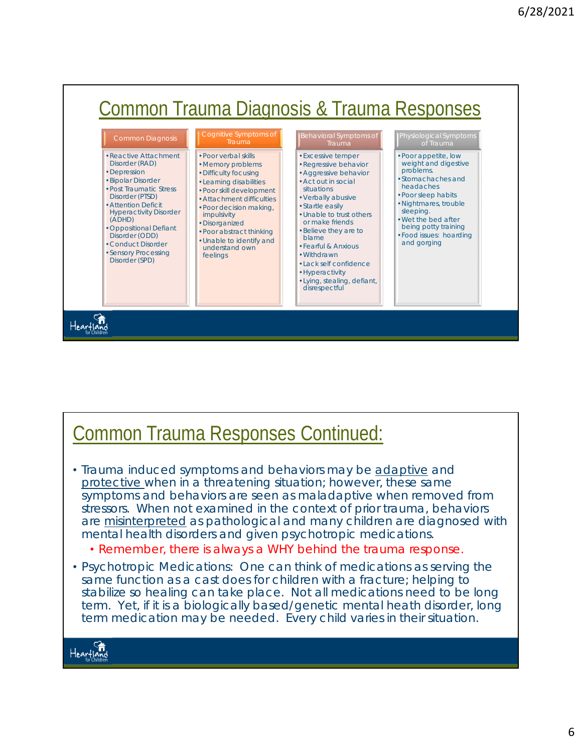

#### Common Trauma Responses Continued:

- Trauma induced symptoms and behaviors may be adaptive and protective when in a threatening situation; however, these same symptoms and behaviors are seen as maladaptive when removed from stressors. When not examined in the context of prior trauma, behaviors are *misinterpreted* as pathological and many children are diagnosed with mental health disorders and given psychotropic medications.
	- *Remember, there is always a WHY behind the trauma response.*
- Psychotropic Medications: One can think of medications as serving the same function as a cast does for children with a fracture; helping to stabilize so healing can take place. Not all medications need to be long term. Yet, if it is a biologically based/genetic mental heath disorder, long term medication may be needed. Every child varies in their situation.

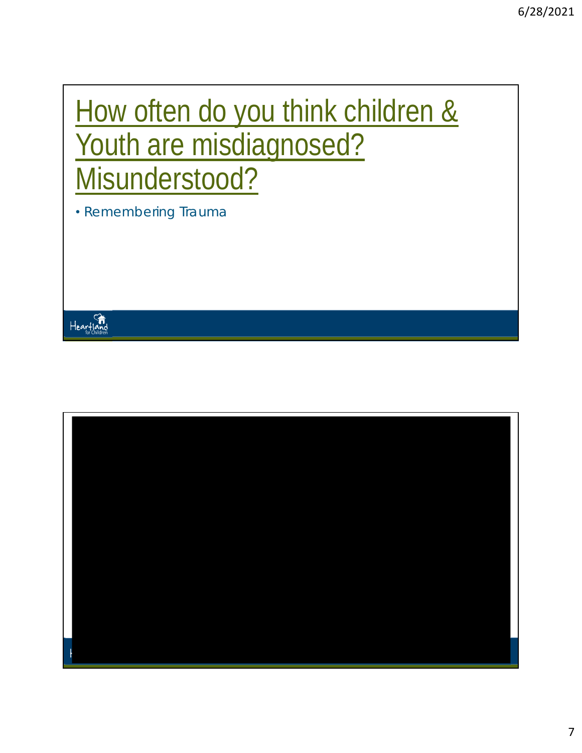## How often do you think children & Youth are misdiagnosed? Misunderstood?

• Remembering Trauma



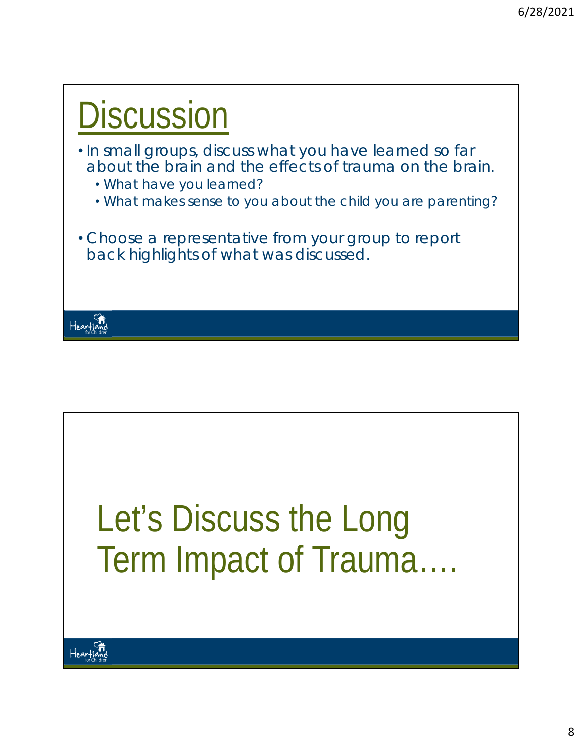



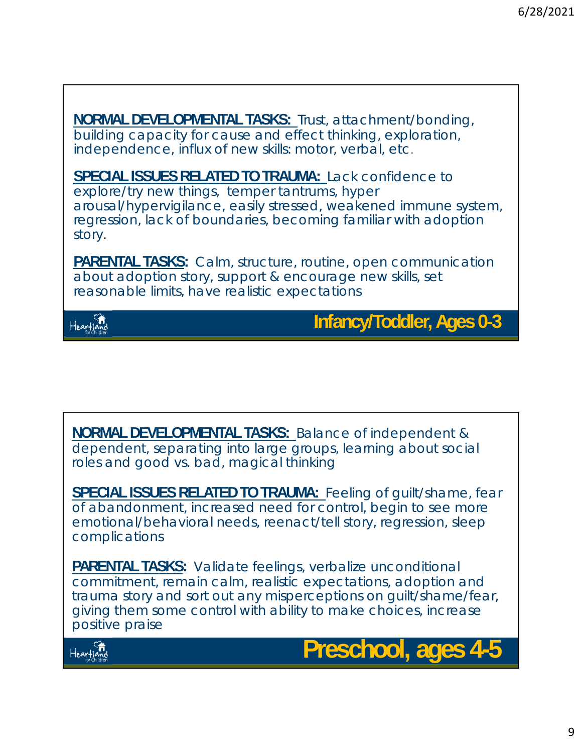**NORMAL DEVELOPMENTAL TASKS:** Trust, attachment/bonding, building capacity for cause and effect thinking, exploration, independence, influx of new skills: motor, verbal, etc.

**SPECIAL ISSUES RELATED TO TRAUMA:** Lack confidence to explore/try new things, temper tantrums, hyper arousal/hypervigilance, easily stressed, weakened immune system, regression, lack of boundaries, becoming familiar with adoption story.

**PARENTAL TASKS:** Calm, structure, routine, open communication about adoption story, support & encourage new skills, set reasonable limits, have realistic expectations



**Infancy/Toddler, Ages 0-3** 

**NORMAL DEVELOPMENTAL TASKS:** Balance of independent & dependent, separating into large groups, learning about social roles and good vs. bad, magical thinking

**SPECIAL ISSUES RELATED TO TRAUMA:** Feeling of guilt/shame, fear of abandonment, increased need for control, begin to see more emotional/behavioral needs, reenact/tell story, regression, sleep complications

**PARENTAL TASKS:** Validate feelings, verbalize unconditional commitment, remain calm, realistic expectations, adoption and trauma story and sort out any misperceptions on guilt/shame/fear, giving them some control with ability to make choices, increase positive praise



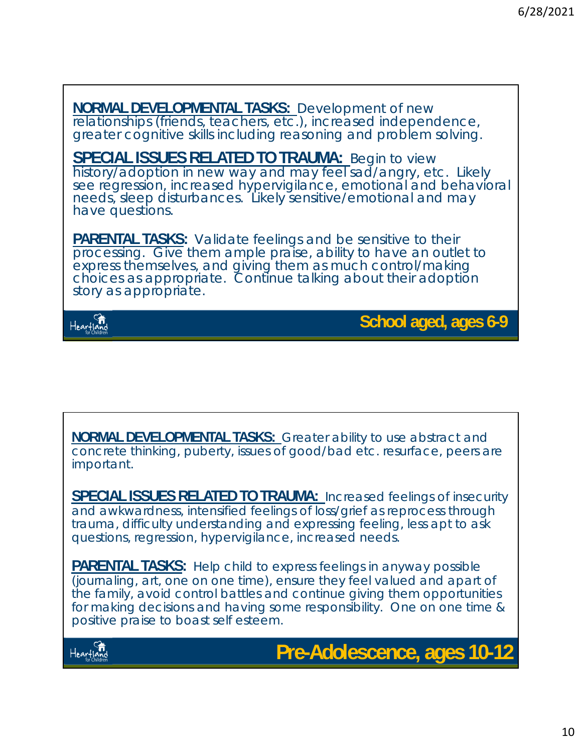**NORMAL DEVELOPMENTAL TASKS:** Development of new relationships (friends, teachers, etc.), increased independence, greater cognitive skills including reasoning and problem solving. **SPECIAL ISSUES RELATED TO TRAUMA:** Begin to view history/adoption in new way and may feel sad/angry, etc. Likely see regression, increased hypervigilance, emotional and behavioral needs, sleep disturbances. Likely sensitive/emotional and may have questions. **PARENTAL TASKS:** Validate feelings and be sensitive to their processing. Give them ample praise, ability to have an outlet to express themselves, and giving them as much control/making choices as appropriate. Continue talking about their adoption story as appropriate. Heartland **School aged, ages 6-9**

**NORMAL DEVELOPMENTAL TASKS:** Greater ability to use abstract and concrete thinking, puberty, issues of good/bad etc. resurface, peers are important.

**SPECIAL ISSUES RELATED TO TRAUMA:** Increased feelings of insecurity and awkwardness, intensified feelings of loss/grief as reprocess through trauma, difficulty understanding and expressing feeling, less apt to ask questions, regression, hypervigilance, increased needs.

**PARENTAL TASKS:** Help child to express feelings in anyway possible (journaling, art, one on one time), ensure they feel valued and apart of the family, avoid control battles and continue giving them opportunities for making decisions and having some responsibility. One on one time & positive praise to boast self esteem.



**Pre-Adolescence, ages 10-12**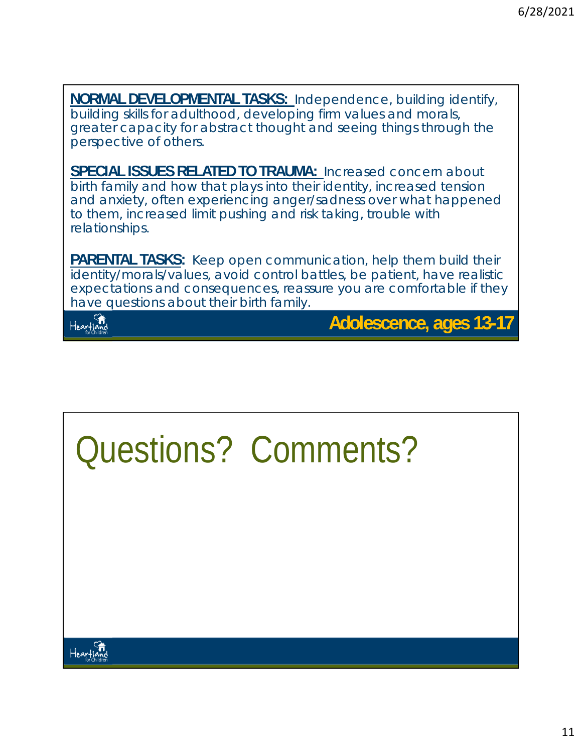**NORMAL DEVELOPMENTAL TASKS:** Independence, building identify, building skills for adulthood, developing firm values and morals, greater capacity for abstract thought and seeing things through the perspective of others.

**SPECIAL ISSUES RELATED TO TRAUMA:** Increased concern about birth family and how that plays into their identity, increased tension and anxiety, often experiencing anger/sadness over what happened to them, increased limit pushing and risk taking, trouble with relationships.

**PARENTAL TASKS:** Keep open communication, help them build their identity/morals/values, avoid control battles, be patient, have realistic expectations and consequences, reassure you are comfortable if they have questions about their birth family.



**Adolescence, ages 13-17**

# Questions? Comments?